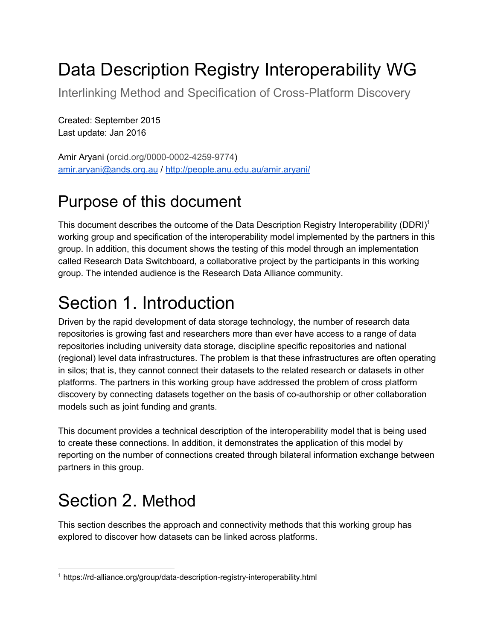# Data Description Registry Interoperability WG

Interlinking Method and Specification of Cross-Platform Discovery

Created: September 2015 Last update: Jan 2016

Amir Aryani (orcid.org/0000-0002-4259-9774) [amir.aryani@ands.org.au](mailto:amir.aryani@ands.org.au) / <http://people.anu.edu.au/amir.aryani/>

#### Purpose of this document

This document describes the outcome of the Data Description Registry Interoperability (DDRI)<sup>1</sup> working group and specification of the interoperability model implemented by the partners in this group. In addition, this document shows the testing of this model through an implementation called Research Data Switchboard, a collaborative project by the participants in this working group. The intended audience is the Research Data Alliance community.

## Section 1. Introduction

Driven by the rapid development of data storage technology, the number of research data repositories is growing fast and researchers more than ever have access to a range of data repositories including university data storage, discipline specific repositories and national (regional) level data infrastructures. The problem is that these infrastructures are often operating in silos; that is, they cannot connect their datasets to the related research or datasets in other platforms. The partners in this working group have addressed the problem of cross platform discovery by connecting datasets together on the basis of co-authorship or other collaboration models such as joint funding and grants.

This document provides a technical description of the interoperability model that is being used to create these connections. In addition, it demonstrates the application of this model by reporting on the number of connections created through bilateral information exchange between partners in this group.

## Section 2. Method

This section describes the approach and connectivity methods that this working group has explored to discover how datasets can be linked across platforms.

<sup>&</sup>lt;sup>1</sup> https://rd-alliance.org/group/data-description-registry-interoperability.html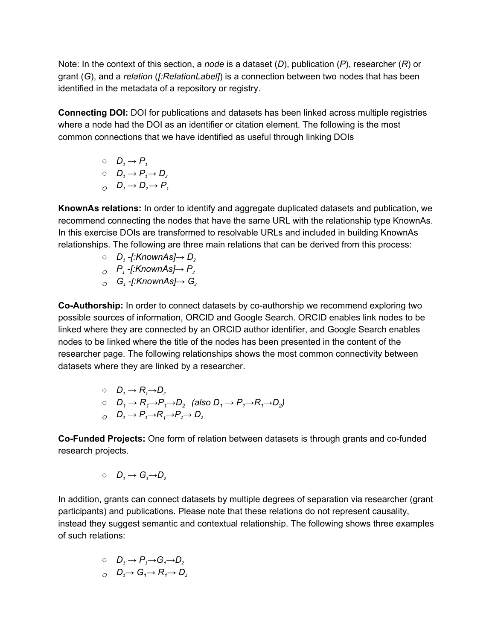Note: In the context of this section, a *node* is a dataset (*D*), publication (*P*), researcher (*R*) or grant (*G*), and a *relation* (*[:RelationLabel]*) is a connection between two nodes that has been identified in the metadata of a repository or registry.

**Connecting DOI:**DOI for publications and datasets has been linked across multiple registries where a node had the DOI as an identifier or citation element. The following is the most common connections that we have identified as useful through linking DOIs

$$
\begin{array}{ll}\n0 & D_1 \rightarrow P_1 \\
0 & D_1 \rightarrow P_1 \rightarrow D_2 \\
0 & D_1 \rightarrow D_2 \rightarrow P_1\n\end{array}
$$

**KnownAs relations:** In order to identify and aggregate duplicated datasets and publication, we recommend connecting the nodes that have the same URL with the relationship type KnownAs. In this exercise DOIs are transformed to resolvable URLs and included in building KnownAs relationships. The following are three main relations that can be derived from this process:

$$
\circ \quad D_1\text{-}[:\textsf{KnownAs}]\to D_2
$$

$$
\circ \quad P_1\text{-}[:KnownAs] \rightarrow P_2
$$

○ *G<sup>1</sup> [:KnownAs]→ G<sup>2</sup>*

**Co-Authorship:** In order to connect datasets by co-authorship we recommend exploring two possible sources of information, ORCID and Google Search. ORCID enables link nodes to be linked where they are connected by an ORCID author identifier, and Google Search enables nodes to be linked where the title of the nodes has been presented in the content of the researcher page. The following relationships shows the most common connectivity between datasets where they are linked by a researcher.

\n- $$
D_1 \rightarrow R_1 \rightarrow D_2
$$
\n- $D_1 \rightarrow R_1 \rightarrow P_1 \rightarrow D_2$  (also  $D_1 \rightarrow P_1 \rightarrow R_1 \rightarrow D_2$ )
\n- $D_1 \rightarrow P_1 \rightarrow R_1 \rightarrow P_2 \rightarrow D_2$
\n

**Co-Funded Projects:** One form of relation between datasets is through grants and co-funded research projects.

$$
\circ\quad D_{\scriptscriptstyle 1} \to G_{\scriptscriptstyle 1} {\to} D_{\scriptscriptstyle 2}
$$

In addition, grants can connect datasets by multiple degrees of separation via researcher (grant participants) and publications. Please note that these relations do not represent causality, instead they suggest semantic and contextual relationship. The following shows three examples of such relations:

$$
\begin{array}{ll} \circ & D_1 \rightarrow P_1 \rightarrow G_1 \rightarrow D_2 \\ \circ & D_1 \rightarrow G_1 \rightarrow R_1 \rightarrow D_2 \end{array}
$$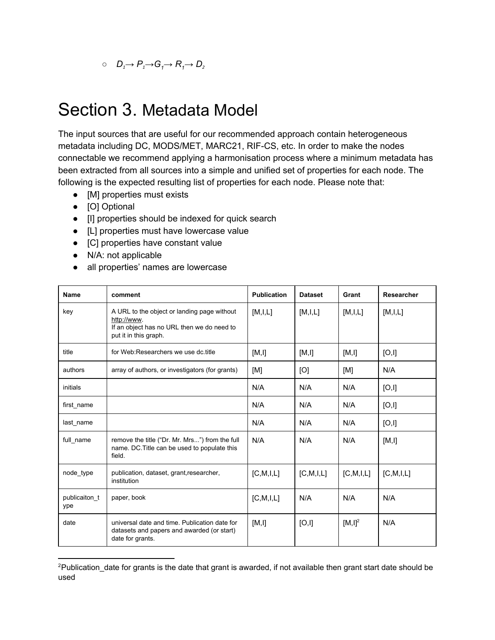### Section 3. Metadata Model

The input sources that are useful for our recommended approach contain heterogeneous metadata including DC, MODS/MET, MARC21, RIF-CS, etc. In order to make the nodes connectable we recommend applying a harmonisation process where a minimum metadata has been extracted from all sources into a simple and unified set of properties for each node. The following is the expected resulting list of properties for each node. Please note that:

- [M] properties must exists
- [O] Optional
- [I] properties should be indexed for quick search
- [L] properties must have lowercase value
- [C] properties have constant value
- N/A: not applicable
- all properties' names are lowercase

| <b>Name</b>          | comment                                                                                                                           | <b>Publication</b> | <b>Dataset</b> | Grant        | Researcher   |
|----------------------|-----------------------------------------------------------------------------------------------------------------------------------|--------------------|----------------|--------------|--------------|
| key                  | A URL to the object or landing page without<br>http://www.<br>If an object has no URL then we do need to<br>put it in this graph. | [M,I,L]            | [M, I, L]      | [M, I, L]    | [M,I,L]      |
| title                | for Web:Researchers we use dc.title                                                                                               | [M, I]             | [M, I]         | [M, I]       | [O,I]        |
| authors              | array of authors, or investigators (for grants)                                                                                   | [M]                | [O]            | [M]          | N/A          |
| initials             |                                                                                                                                   | N/A                | N/A            | N/A          | [O,I]        |
| first name           |                                                                                                                                   | N/A                | N/A            | N/A          | [O,I]        |
| last_name            |                                                                                                                                   | N/A                | N/A            | N/A          | [O,I]        |
| full name            | remove the title ("Dr. Mr. Mrs") from the full<br>name. DC. Title can be used to populate this<br>field.                          | N/A                | N/A            | N/A          | [M, I]       |
| node_type            | publication, dataset, grant, researcher,<br>institution                                                                           | [C, M, I, L]       | [C, M, I, L]   | [C, M, I, L] | [C, M, I, L] |
| publicaiton t<br>ype | paper, book                                                                                                                       | [C, M, I, L]       | N/A            | N/A          | N/A          |
| date                 | universal date and time. Publication date for<br>datasets and papers and awarded (or start)<br>date for grants.                   | [M, I]             | [O,I]          | $[M, I]^2$   | N/A          |

<sup>&</sup>lt;sup>2</sup>Publication\_date for grants is the date that grant is awarded, if not available then grant start date should be used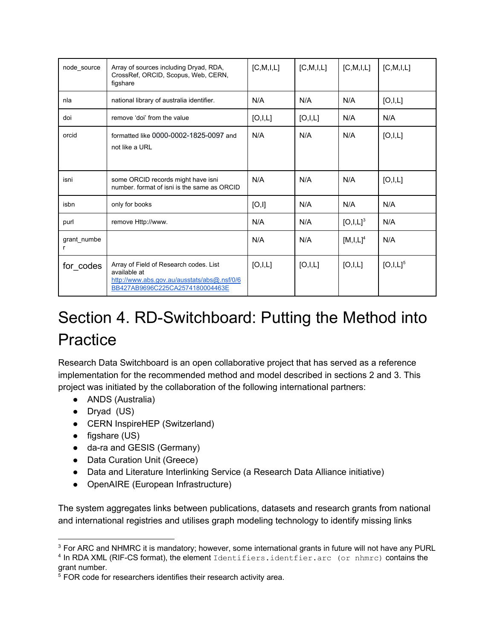| node_source      | Array of sources including Dryad, RDA,<br>CrossRef, ORCID, Scopus, Web, CERN,<br>figshare                                                | [C, M, I, L] | [C, M, I, L] | [C, M, I, L] | [C, M, I, L]  |
|------------------|------------------------------------------------------------------------------------------------------------------------------------------|--------------|--------------|--------------|---------------|
| nla              | national library of australia identifier.                                                                                                | N/A          | N/A          | N/A          | [O,I,L]       |
| doi              | remove 'doi' from the value                                                                                                              | [O,I,L]      | [O,I,L]      | N/A          | N/A           |
| orcid            | formatted like 0000-0002-1825-0097 and<br>not like a URL                                                                                 | N/A          | N/A          | N/A          | [O,I,L]       |
| isni             | some ORCID records might have isni<br>number, format of isni is the same as ORCID                                                        | N/A          | N/A          | N/A          | [O,I,L]       |
| isbn             | only for books                                                                                                                           | [O,I]        | N/A          | N/A          | N/A           |
| purl             | remove Http://www.                                                                                                                       | N/A          | N/A          | $[O,I,L]^3$  | N/A           |
| grant numbe<br>r |                                                                                                                                          | N/A          | N/A          | $[M,I,L]^4$  | N/A           |
| for_codes        | Array of Field of Research codes. List<br>available at<br>http://www.abs.gov.au/ausstats/abs@.nsf/0/6<br>BB427AB9696C225CA2574180004463E | [O,I,L]      | [O,I,L]      | [O,I,L]      | $[O,I,L]^{5}$ |

## Section 4. RD-Switchboard: Putting the Method into Practice

Research Data Switchboard is an open collaborative project that has served as a reference implementation for the recommended method and model described in sections 2 and 3. This project was initiated by the collaboration of the following international partners:

- ANDS (Australia)
- Dryad (US)
- CERN InspireHEP (Switzerland)
- figshare (US)
- da-ra and GESIS (Germany)
- Data Curation Unit (Greece)
- Data and Literature Interlinking Service (a Research Data Alliance initiative)
- OpenAIRE (European Infrastructure)

The system aggregates links between publications, datasets and research grants from national and international registries and utilises graph modeling technology to identify missing links

<sup>4</sup> In RDA XML (RIF-CS format), the element Identifiers.identfier.arc (or nhmrc) contains the grant number.

<sup>&</sup>lt;sup>3</sup> For ARC and NHMRC it is mandatory; however, some international grants in future will not have any PURL

<sup>&</sup>lt;sup>5</sup> FOR code for researchers identifies their research activity area.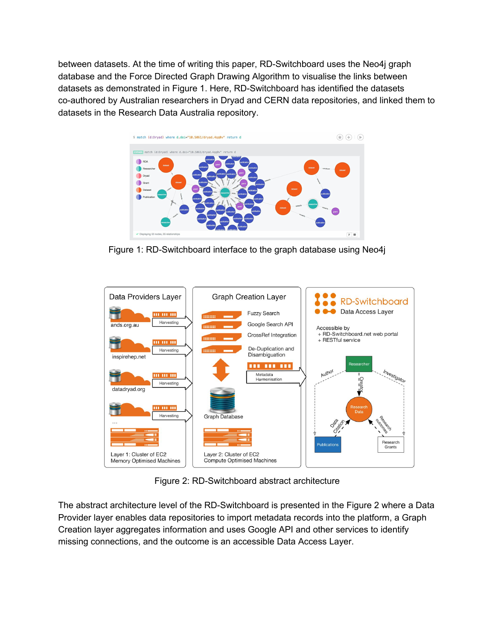between datasets. At the time of writing this paper, RD-Switchboard uses the Neo4j graph database and the Force Directed Graph Drawing Algorithm to visualise the links between datasets as demonstrated in Figure 1. Here, RD-Switchboard has identified the datasets co-authored by Australian researchers in Dryad and CERN data repositories, and linked them to datasets in the Research Data Australia repository.



Figure 1: RD-Switchboard interface to the graph database using Neo4j



Figure 2: RD-Switchboard abstract architecture

The abstract architecture level of the RD-Switchboard is presented in the Figure 2 where a Data Provider layer enables data repositories to import metadata records into the platform, a Graph Creation layer aggregates information and uses Google API and other services to identify missing connections, and the outcome is an accessible Data Access Layer.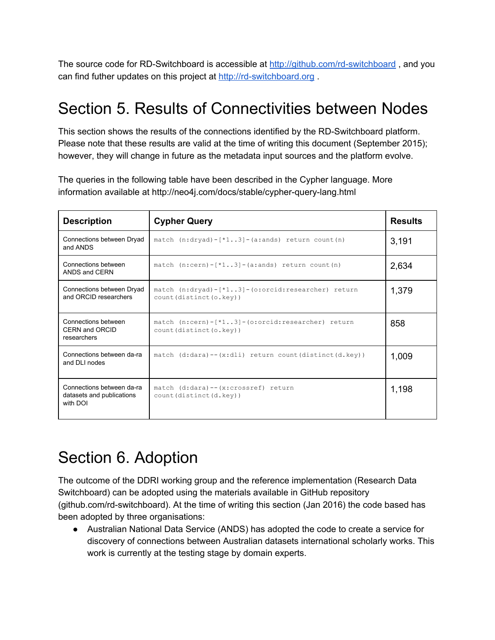The source code for RD-Switchboard is accessible at http://github.com/rd-switchboard, and you can find futher updates on this project at http://rd-switchboard.org .

#### Section 5. Results of Connectivities between Nodes

This section shows the results of the connections identified by the RD-Switchboard platform. Please note that these results are valid at the time of writing this document (September 2015); however, they will change in future as the metadata input sources and the platform evolve.

The queries in the following table have been described in the Cypher language. More information available at http://neo4j.com/docs/stable/cypher-query-lang.html

| <b>Description</b>                                                 | <b>Cypher Query</b>                                                                     | <b>Results</b> |
|--------------------------------------------------------------------|-----------------------------------------------------------------------------------------|----------------|
| Connections between Dryad<br>and ANDS                              | match $(n:$ dryad) - $[*13]$ - $(a:$ ands) return count $(n)$                           | 3,191          |
| Connections between<br>ANDS and CERN                               | match $(n:cern) - [*13] - (a:ands) return count(n)$                                     | 2,634          |
| Connections between Dryad<br>and ORCID researchers                 | match $(n:$ dryad $)-$ [*13] - (o:orcid:researcher) return<br>count (distinct (o. key)) | 1,379          |
| Connections between<br>CERN and ORCID<br>researchers               | match $(n:cern) - [*13] - (o:occid: researcher) return$<br>count (distinct (o. key))    | 858            |
| Connections between da-ra<br>and DLI nodes                         | match $(d:dara) -- (x:dli) return count(distinct(d,key))$                               | 1,009          |
| Connections between da-ra<br>datasets and publications<br>with DOI | match (d:dara)--(x:crossref) return<br>count (distinct (d. key))                        | 1,198          |

#### Section 6. Adoption

The outcome of the DDRI working group and the reference implementation (Research Data Switchboard) can be adopted using the materials available in GitHub repository (github.com/rd-switchboard). At the time of writing this section (Jan 2016) the code based has been adopted by three organisations:

● Australian National Data Service (ANDS) has adopted the code to create a service for discovery of connections between Australian datasets international scholarly works. This work is currently at the testing stage by domain experts.